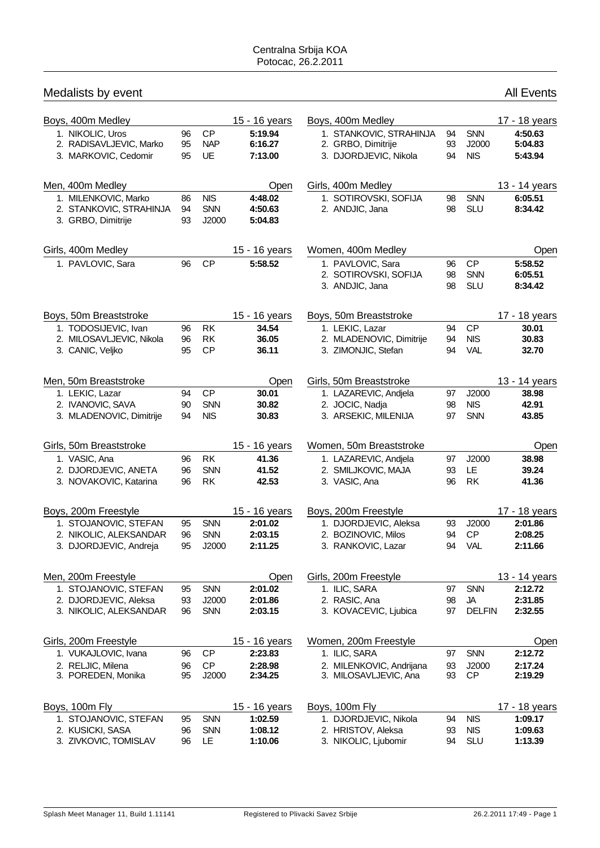| Medalists by event                            |          |                     |                    |                          |    |               | <b>All Events</b> |
|-----------------------------------------------|----------|---------------------|--------------------|--------------------------|----|---------------|-------------------|
| Boys, 400m Medley                             |          |                     | 15 - 16 years      | Boys, 400m Medley        |    |               | 17 - 18 years     |
| 1. NIKOLIC, Uros                              | 96       | <b>CP</b>           | 5:19.94            | 1. STANKOVIC, STRAHINJA  | 94 | SNN           | 4:50.63           |
| 2. RADISAVLJEVIC, Marko                       | 95       | <b>NAP</b>          | 6:16.27            | 2. GRBO, Dimitrije       | 93 | J2000         | 5:04.83           |
| 3. MARKOVIC, Cedomir                          | 95       | UE                  | 7:13.00            | 3. DJORDJEVIC, Nikola    | 94 | <b>NIS</b>    | 5:43.94           |
| Men, 400m Medley                              |          |                     | Open               | Girls, 400m Medley       |    |               | 13 - 14 years     |
| 1. MILENKOVIC, Marko                          | 86       | <b>NIS</b>          | 4:48.02            | 1. SOTIROVSKI, SOFIJA    | 98 | <b>SNN</b>    | 6:05.51           |
| 2. STANKOVIC, STRAHINJA<br>3. GRBO, Dimitrije | 94<br>93 | <b>SNN</b><br>J2000 | 4:50.63<br>5:04.83 | 2. ANDJIC, Jana          | 98 | <b>SLU</b>    | 8:34.42           |
| Girls, 400m Medley                            |          |                     | 15 - 16 years      | Women, 400m Medley       |    |               | Open              |
| 1. PAVLOVIC, Sara                             | 96       | <b>CP</b>           | 5:58.52            | 1. PAVLOVIC, Sara        | 96 | <b>CP</b>     | 5:58.52           |
|                                               |          |                     |                    | 2. SOTIROVSKI, SOFIJA    | 98 | <b>SNN</b>    | 6:05.51           |
|                                               |          |                     |                    | 3. ANDJIC, Jana          | 98 | <b>SLU</b>    | 8:34.42           |
| Boys, 50m Breaststroke                        |          |                     | 15 - 16 years      | Boys, 50m Breaststroke   |    |               | 17 - 18 years     |
| 1. TODOSIJEVIC, Ivan                          | 96       | <b>RK</b>           | 34.54              | 1. LEKIC, Lazar          | 94 | <b>CP</b>     | 30.01             |
| 2. MILOSAVLJEVIC, Nikola                      | 96       | <b>RK</b>           | 36.05              | 2. MLADENOVIC, Dimitrije | 94 | <b>NIS</b>    | 30.83             |
| 3. CANIC, Veljko                              | 95       | <b>CP</b>           | 36.11              | 3. ZIMONJIC, Stefan      | 94 | <b>VAL</b>    | 32.70             |
| Men, 50m Breaststroke                         |          |                     | Open               | Girls, 50m Breaststroke  |    |               | 13 - 14 years     |
| 1. LEKIC, Lazar                               | 94       | <b>CP</b>           | 30.01              | 1. LAZAREVIC, Andjela    | 97 | J2000         | 38.98             |
| 2. IVANOVIC, SAVA                             | 90       | <b>SNN</b>          | 30.82              | 2. JOCIC, Nadja          | 98 | <b>NIS</b>    | 42.91             |
| 3. MLADENOVIC, Dimitrije                      | 94       | <b>NIS</b>          | 30.83              | 3. ARSEKIC, MILENIJA     | 97 | <b>SNN</b>    | 43.85             |
| Girls, 50m Breaststroke                       |          |                     | 15 - 16 years      | Women, 50m Breaststroke  |    |               | Open              |
| 1. VASIC, Ana                                 | 96       | <b>RK</b>           | 41.36              | 1. LAZAREVIC, Andjela    | 97 | J2000         | 38.98             |
| 2. DJORDJEVIC, ANETA                          | 96       | <b>SNN</b>          | 41.52              | 2. SMILJKOVIC, MAJA      | 93 | LE.           | 39.24             |
| 3. NOVAKOVIC, Katarina                        | 96       | <b>RK</b>           | 42.53              | 3. VASIC, Ana            | 96 | <b>RK</b>     | 41.36             |
| Boys, 200m Freestyle                          |          |                     | 15 - 16 years      | Boys, 200m Freestyle     |    |               | 17 - 18 years     |
| 1. STOJANOVIC, STEFAN                         | 95       | <b>SNN</b>          | 2:01.02            | 1. DJORDJEVIC, Aleksa    | 93 | J2000         | 2:01.86           |
| 2. NIKOLIC, ALEKSANDAR                        | 96       | <b>SNN</b>          | 2:03.15            | 2. BOZINOVIC, Milos      |    | 94 CP         | 2:08.25           |
| 3. DJORDJEVIC, Andreja                        | 95       | J2000               | 2:11.25            | 3. RANKOVIC, Lazar       | 94 | VAL           | 2:11.66           |
| Men, 200m Freestyle                           |          |                     | Open               | Girls, 200m Freestyle    |    |               | 13 - 14 years     |
| 1. STOJANOVIC, STEFAN                         | 95       | SNN                 | 2:01.02            | 1. ILIC, SARA            | 97 | <b>SNN</b>    | 2:12.72           |
| 2. DJORDJEVIC, Aleksa                         | 93       | J2000               | 2:01.86            | 2. RASIC, Ana            | 98 | JA            | 2:31.85           |
| 3. NIKOLIC, ALEKSANDAR                        | 96       | <b>SNN</b>          | 2:03.15            | 3. KOVACEVIC, Ljubica    | 97 | <b>DELFIN</b> | 2:32.55           |
| Girls, 200m Freestyle                         |          |                     | 15 - 16 years      | Women, 200m Freestyle    |    |               | Open              |
| 1. VUKAJLOVIC, Ivana                          | 96       | <b>CP</b>           | 2:23.83            | 1. ILIC, SARA            | 97 | SNN           | 2:12.72           |
| 2. RELJIC, Milena                             | 96       | CP                  | 2:28.98            | 2. MILENKOVIC, Andrijana | 93 | J2000         | 2:17.24           |
| 3. POREDEN, Monika                            | 95       | J2000               | 2:34.25            | 3. MILOSAVLJEVIC, Ana    | 93 | <b>CP</b>     | 2:19.29           |
| Boys, 100m Fly                                |          |                     | 15 - 16 years      | Boys, 100m Fly           |    |               | 17 - 18 years     |
| 1. STOJANOVIC, STEFAN                         | 95       | <b>SNN</b>          | 1:02.59            | 1. DJORDJEVIC, Nikola    | 94 | <b>NIS</b>    | 1:09.17           |
| 2. KUSICKI, SASA                              | 96       | <b>SNN</b>          | 1:08.12            | 2. HRISTOV, Aleksa       | 93 | <b>NIS</b>    | 1:09.63           |
| 3. ZIVKOVIC, TOMISLAV                         | 96       | <b>LE</b>           | 1:10.06            | 3. NIKOLIC, Ljubomir     | 94 | SLU           | 1:13.39           |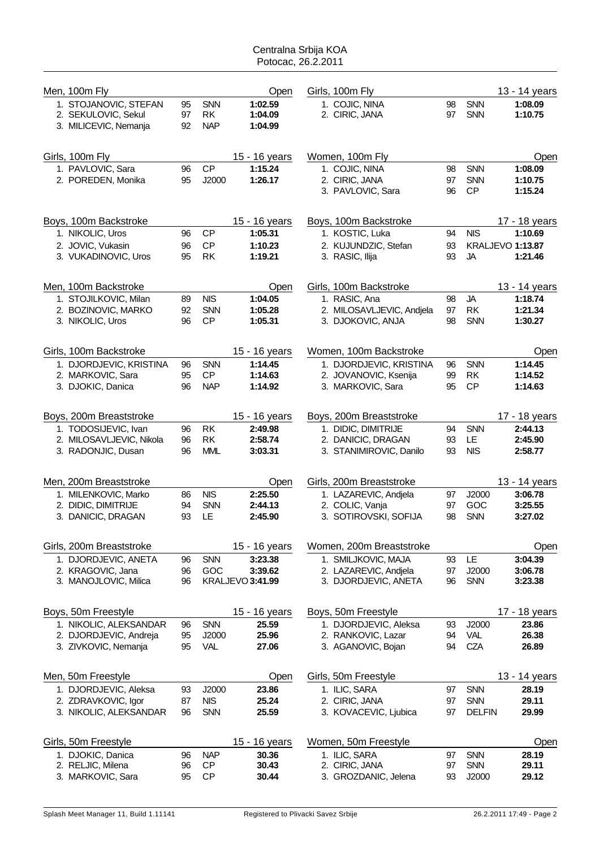| Men, 100m Fly                                                         |                |                                       | Open                          | Girls, 100m Fly                  |          |                   | 13 - 14 years      |
|-----------------------------------------------------------------------|----------------|---------------------------------------|-------------------------------|----------------------------------|----------|-------------------|--------------------|
| 1. STOJANOVIC, STEFAN<br>2. SEKULOVIC, Sekul<br>3. MILICEVIC, Nemanja | 95<br>97<br>92 | <b>SNN</b><br><b>RK</b><br><b>NAP</b> | 1:02.59<br>1:04.09<br>1:04.99 | 1. COJIC, NINA<br>2. CIRIC, JANA | 98<br>97 | <b>SNN</b><br>SNN | 1:08.09<br>1:10.75 |
| Girls, 100m Fly                                                       |                |                                       | 15 - 16 years                 | Women, 100m Fly                  |          |                   | Open               |
| 1. PAVLOVIC, Sara                                                     | 96             | CP                                    | 1:15.24                       | 1. COJIC, NINA                   | 98       | SNN               | 1:08.09            |
| 2. POREDEN, Monika                                                    | 95             | J2000                                 | 1:26.17                       | 2. CIRIC, JANA                   | 97       | <b>SNN</b>        | 1:10.75            |
|                                                                       |                |                                       |                               | 3. PAVLOVIC, Sara                | 96       | <b>CP</b>         | 1:15.24            |
| Boys, 100m Backstroke                                                 |                |                                       | 15 - 16 years                 | Boys, 100m Backstroke            |          |                   | 17 - 18 years      |
| 1. NIKOLIC, Uros                                                      | 96             | <b>CP</b>                             | 1:05.31                       | 1. KOSTIC, Luka                  | 94       | <b>NIS</b>        | 1:10.69            |
| 2. JOVIC, Vukasin                                                     | 96             | CP                                    | 1:10.23                       | 2. KUJUNDZIC, Stefan             | 93       |                   | KRALJEVO 1:13.87   |
| 3. VUKADINOVIC, Uros                                                  | 95             | <b>RK</b>                             | 1:19.21                       | 3. RASIC, Ilija                  | 93       | <b>JA</b>         | 1:21.46            |
| Men, 100m Backstroke                                                  |                |                                       | Open                          | Girls, 100m Backstroke           |          |                   | 13 - 14 years      |
| 1. STOJILKOVIC, Milan                                                 | 89             | <b>NIS</b>                            | 1:04.05                       | 1. RASIC, Ana                    | 98       | <b>JA</b>         | 1:18.74            |
| 2. BOZINOVIC, MARKO                                                   | 92             | <b>SNN</b>                            | 1:05.28                       | 2. MILOSAVLJEVIC, Andjela        | 97       | <b>RK</b>         | 1:21.34            |
| 3. NIKOLIC, Uros                                                      | 96             | <b>CP</b>                             | 1:05.31                       | 3. DJOKOVIC, ANJA                | 98       | <b>SNN</b>        | 1:30.27            |
| Girls, 100m Backstroke                                                |                |                                       | 15 - 16 years                 | Women, 100m Backstroke           |          |                   | Open               |
| 1. DJORDJEVIC, KRISTINA                                               | 96             | <b>SNN</b>                            | 1:14.45                       | 1. DJORDJEVIC, KRISTINA          | 96       | <b>SNN</b>        | 1:14.45            |
| 2. MARKOVIC, Sara                                                     | 95             | <b>CP</b>                             | 1:14.63                       | 2. JOVANOVIC, Ksenija            | 99       | <b>RK</b>         | 1:14.52            |
| 3. DJOKIC, Danica                                                     | 96             | <b>NAP</b>                            | 1:14.92                       | 3. MARKOVIC, Sara                | 95       | <b>CP</b>         | 1:14.63            |
| Boys, 200m Breaststroke                                               |                |                                       | 15 - 16 years                 | Boys, 200m Breaststroke          |          |                   | 17 - 18 years      |
| 1. TODOSIJEVIC, Ivan                                                  | 96             | <b>RK</b>                             | 2:49.98                       | 1. DIDIC, DIMITRIJE              | 94       | <b>SNN</b>        | 2:44.13            |
| 2. MILOSAVLJEVIC, Nikola                                              | 96             | <b>RK</b>                             | 2:58.74                       | 2. DANICIC, DRAGAN               | 93       | LE.               | 2:45.90            |
| 3. RADONJIC, Dusan                                                    | 96             | <b>MML</b>                            | 3:03.31                       | 3. STANIMIROVIC, Danilo          | 93       | <b>NIS</b>        | 2:58.77            |
| Men, 200m Breaststroke                                                |                |                                       | Open                          | Girls, 200m Breaststroke         |          |                   | 13 - 14 years      |
| 1. MILENKOVIC, Marko                                                  | 86             | <b>NIS</b>                            | 2:25.50                       | 1. LAZAREVIC, Andiela            | 97       | J2000             | 3:06.78            |
| 2. DIDIC, DIMITRIJE                                                   | 94             | <b>SNN</b>                            | 2:44.13                       | 2. COLIC, Vanja                  | 97       | GOC               | 3:25.55            |
| 3. DANICIC, DRAGAN                                                    | 93             | LE                                    | 2:45.90                       | 3. SOTIROVSKI, SOFIJA            | 98       | <b>SNN</b>        | 3:27.02            |
| Girls, 200m Breaststroke                                              |                |                                       | 15 - 16 years                 | Women, 200m Breaststroke         |          |                   | Open               |
| 1. DJORDJEVIC, ANETA                                                  | 96             | <b>SNN</b>                            | 3:23.38                       | 1. SMILJKOVIC, MAJA              | 93       | LE                | 3:04.39            |
| 2. KRAGOVIC, Jana                                                     | 96             | GOC                                   | 3:39.62                       | 2. LAZAREVIC, Andjela            | 97       | J2000             | 3:06.78            |
| 3. MANOJLOVIC, Milica                                                 | 96             |                                       | KRALJEVO 3:41.99              | 3. DJORDJEVIC, ANETA             | 96       | <b>SNN</b>        | 3:23.38            |
| Boys, 50m Freestyle                                                   |                |                                       | 15 - 16 years                 | Boys, 50m Freestyle              |          |                   | 17 - 18 years      |
| 1. NIKOLIC, ALEKSANDAR                                                | 96             | SNN                                   | 25.59                         | 1. DJORDJEVIC, Aleksa            | 93       | J2000             | 23.86              |
| 2. DJORDJEVIC, Andreja                                                | 95             | J2000                                 | 25.96                         | 2. RANKOVIC, Lazar               | 94       | <b>VAL</b>        | 26.38              |
| 3. ZIVKOVIC, Nemanja                                                  | 95             | <b>VAL</b>                            | 27.06                         | 3. AGANOVIC, Bojan               | 94       | <b>CZA</b>        | 26.89              |
| Men, 50m Freestyle                                                    |                |                                       | Open                          | Girls, 50m Freestyle             |          |                   | 13 - 14 years      |
| 1. DJORDJEVIC, Aleksa                                                 | 93             | J2000                                 | 23.86                         | 1. ILIC, SARA                    | 97       | SNN               | 28.19              |
| 2. ZDRAVKOVIC, Igor                                                   | 87             | <b>NIS</b>                            | 25.24                         | 2. CIRIC, JANA                   | 97       | <b>SNN</b>        | 29.11              |
| 3. NIKOLIC, ALEKSANDAR                                                | 96             | <b>SNN</b>                            | 25.59                         | 3. KOVACEVIC, Ljubica            | 97       | <b>DELFIN</b>     | 29.99              |
| Girls, 50m Freestyle                                                  |                |                                       | 15 - 16 years                 | Women, 50m Freestyle             |          |                   | Open               |
| 1. DJOKIC, Danica                                                     | 96             | <b>NAP</b>                            | 30.36                         | 1. ILIC, SARA                    | 97       | <b>SNN</b>        | 28.19              |
| 2. RELJIC, Milena                                                     | 96             | <b>CP</b>                             | 30.43                         | 2. CIRIC, JANA                   | 97       | <b>SNN</b>        | 29.11              |
| 3. MARKOVIC, Sara                                                     | 95             | <b>CP</b>                             | 30.44                         | 3. GROZDANIC, Jelena             | 93       | J2000             | 29.12              |